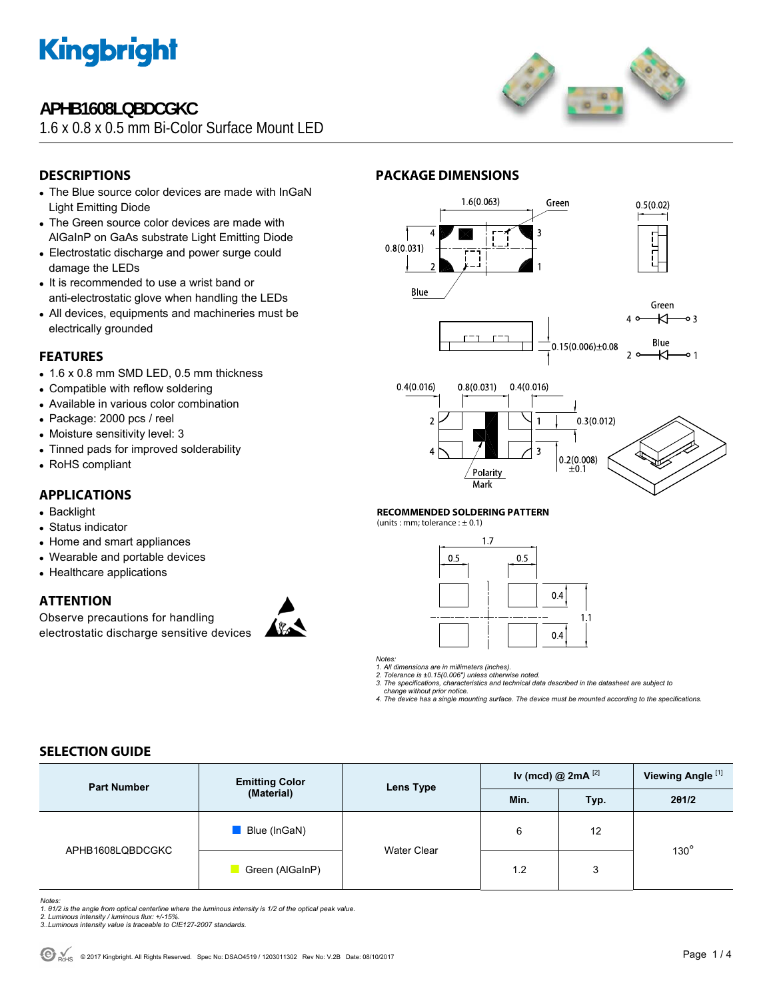

# **APHB1608LQBDCGKC**

1.6 x 0.8 x 0.5 mm Bi-Color Surface Mount LED



## **DESCRIPTIONS**

- The Blue source color devices are made with InGaN Light Emitting Diode
- The Green source color devices are made with AlGaInP on GaAs substrate Light Emitting Diode
- Electrostatic discharge and power surge could damage the LEDs
- It is recommended to use a wrist band or anti-electrostatic glove when handling the LEDs
- All devices, equipments and machineries must be electrically grounded

### **FEATURES**

- $\bullet$  1.6 x 0.8 mm SMD LED, 0.5 mm thickness
- Compatible with reflow soldering
- Available in various color combination
- Package: 2000 pcs / reel
- Moisture sensitivity level: 3
- Tinned pads for improved solderability
- RoHS compliant

## **APPLICATIONS**

- Backlight
- Status indicator
- Home and smart appliances
- Wearable and portable devices
- Healthcare applications

### **ATTENTION**

Observe precautions for handling electrostatic discharge sensitive devices









### **RECOMMENDED SOLDERING PATTERN**

(units : mm; tolerance :  $\pm$  0.1)



*Notes:* 

*1. All dimensions are in millimeters (inches). 2. Tolerance is ±0.15(0.006") unless otherwise noted.* 

*3. The specifications, characteristics and technical data described in the datasheet are subject to* 

 *change without prior notice. 4. The device has a single mounting surface. The device must be mounted according to the specifications.* 

### **SELECTION GUIDE**

| <b>Part Number</b> | <b>Emitting Color</b><br>(Material) | <b>Lens Type</b>   | Iv (mcd) @ $2mA$ <sup>[2]</sup> |      | Viewing Angle <sup>[1]</sup> |  |
|--------------------|-------------------------------------|--------------------|---------------------------------|------|------------------------------|--|
|                    |                                     |                    | Min.                            | Typ. | 201/2                        |  |
| APHB1608LQBDCGKC   | Blue (InGaN)                        | <b>Water Clear</b> | 6                               | 12   | $130^\circ$                  |  |
|                    | Green (AlGaInP)                     |                    | 1.2                             | 3    |                              |  |

*Notes:* 

- *1. θ1/2 is the angle from optical centerline where the luminous intensity is 1/2 of the optical peak value. 2. Luminous intensity / luminous flux: +/-15%.*
- *3..Luminous intensity value is traceable to CIE127-2007 standards.*
-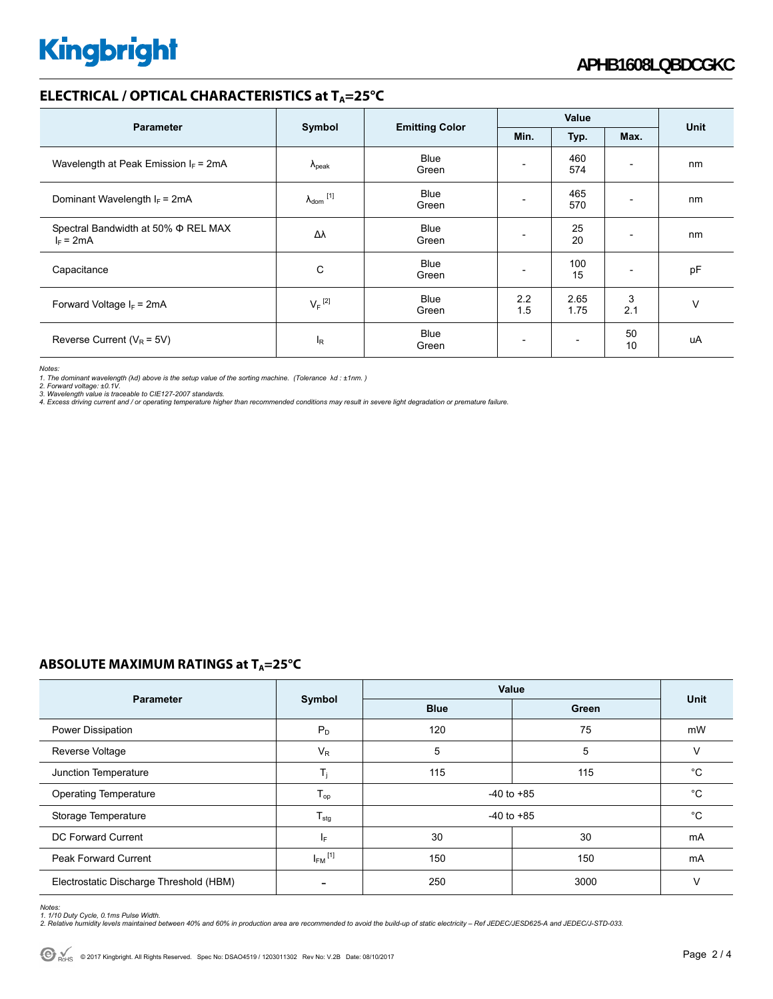## **ELECTRICAL / OPTICAL CHARACTERISTICS at TA=25°C**

| <b>Parameter</b>                                        | Symbol                     | <b>Emitting Color</b> | Value                    |              |          |             |
|---------------------------------------------------------|----------------------------|-----------------------|--------------------------|--------------|----------|-------------|
|                                                         |                            |                       | Min.                     | Typ.         | Max.     | <b>Unit</b> |
| Wavelength at Peak Emission $I_F$ = 2mA                 | $\Lambda_{\rm peak}$       | <b>Blue</b><br>Green  | $\overline{\phantom{a}}$ | 460<br>574   |          | nm          |
| Dominant Wavelength $I_F$ = 2mA                         | $\lambda_{\text{dom}}$ [1] | <b>Blue</b><br>Green  |                          | 465<br>570   |          | nm          |
| Spectral Bandwidth at 50% $\Phi$ REL MAX<br>$I_F = 2mA$ | Δλ                         | Blue<br>Green         | $\overline{\phantom{0}}$ | 25<br>20     |          | nm          |
| Capacitance                                             | C                          | <b>Blue</b><br>Green  | $\overline{\phantom{0}}$ | 100<br>15    |          | pF          |
| Forward Voltage $I_F$ = 2mA                             | $V_F$ <sup>[2]</sup>       | <b>Blue</b><br>Green  | 2.2<br>1.5               | 2.65<br>1.75 | 3<br>2.1 | v           |
| Reverse Current ( $V_R$ = 5V)                           | l <sub>R</sub>             | <b>Blue</b><br>Green  | $\overline{\phantom{a}}$ |              | 50<br>10 | uA          |

*Notes:* 

*1. The dominant wavelength (*λ*d) above is the setup value of the sorting machine. (Tolerance* λ*d : ±1nm. )* 

*2. Forward voltage: ±0.1V. 3. Wavelength value is traceable to CIE127-2007 standards.* 

*4. Excess driving current and / or operating temperature higher than recommended conditions may result in severe light degradation or premature failure.* 

### **ABSOLUTE MAXIMUM RATINGS at T<sub>A</sub>=25°C**

|                                         | Symbol                  | Value          |             |             |
|-----------------------------------------|-------------------------|----------------|-------------|-------------|
| <b>Parameter</b>                        |                         | <b>Blue</b>    | Green       | <b>Unit</b> |
| Power Dissipation                       | $P_D$                   | 120            | 75          | mW          |
| Reverse Voltage                         | $V_R$                   | 5              | 5           | v           |
| Junction Temperature                    | T,                      | 115            | 115         | $^{\circ}C$ |
| <b>Operating Temperature</b>            | $T_{op}$                | $-40$ to $+85$ | $^{\circ}C$ |             |
| Storage Temperature                     | $T_{\text{stg}}$        | $-40$ to $+85$ | $^{\circ}C$ |             |
| <b>DC Forward Current</b>               | IF.                     | 30             | 30          | mA          |
| <b>Peak Forward Current</b>             | $I_{FM}$ <sup>[1]</sup> | 150            | 150         | mA          |
| Electrostatic Discharge Threshold (HBM) |                         | 250            | 3000        | $\vee$      |

*Notes:* 

1. 1/10 Duty Cycle, 0.1ms Pulse Width.<br>2. Relative humidity levels maintained between 40% and 60% in production area are recommended to avoid the build-up of static electricity – Ref JEDEC/JESD625-A and JEDEC/J-STD-033.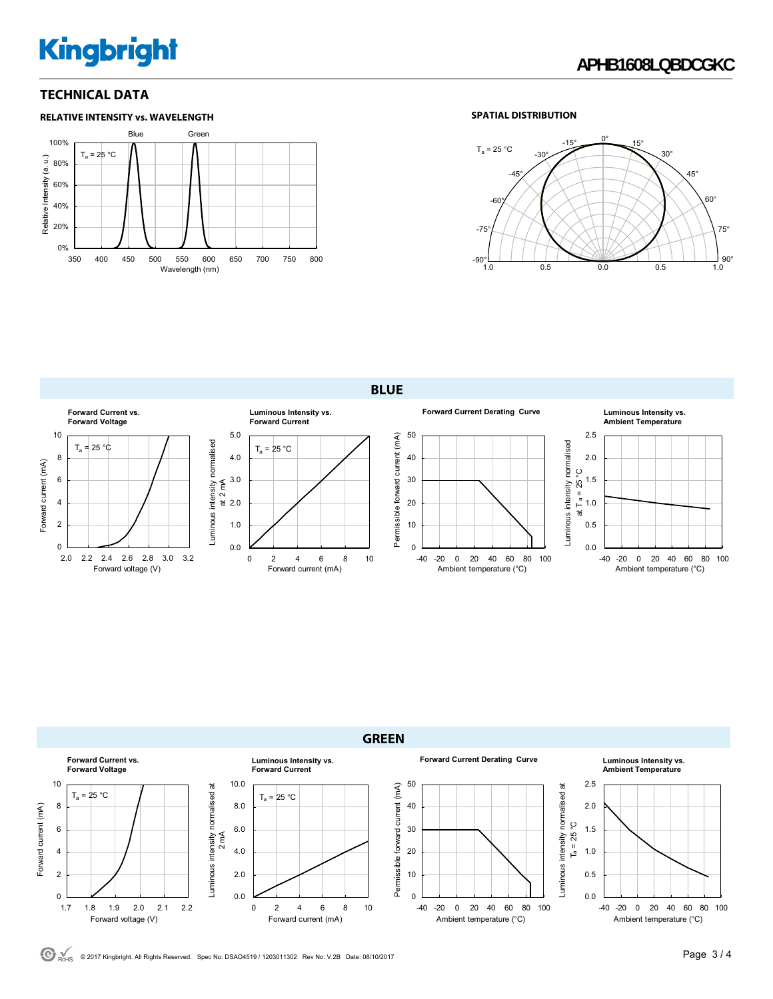# **Kingbright**

### **TECHNICAL DATA**



### **SPATIAL DISTRIBUTION**



**BLUE** 





 $\bigodot$ <sub>ROMS</sub> © 2017 Kingbright. All Rights Reserved. Spec No: DSAO4519 / 1203011302 Rev No: V.2B Date: 08/10/2017